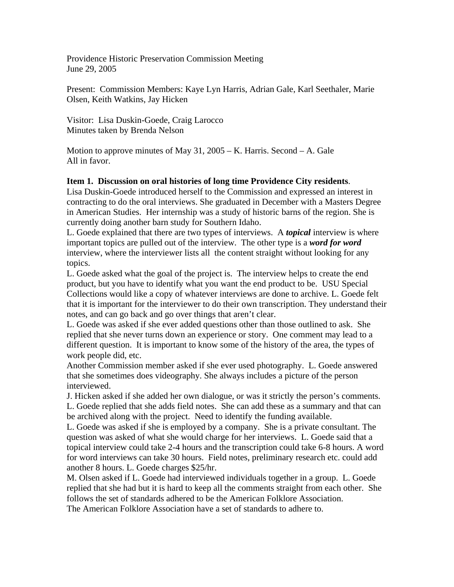Providence Historic Preservation Commission Meeting June 29, 2005

Present: Commission Members: Kaye Lyn Harris, Adrian Gale, Karl Seethaler, Marie Olsen, Keith Watkins, Jay Hicken

Visitor: Lisa Duskin-Goede, Craig Larocco Minutes taken by Brenda Nelson

Motion to approve minutes of May 31,  $2005 - K$ . Harris. Second  $- A$ . Gale All in favor.

## **Item 1. Discussion on oral histories of long time Providence City residents**.

Lisa Duskin-Goede introduced herself to the Commission and expressed an interest in contracting to do the oral interviews. She graduated in December with a Masters Degree in American Studies. Her internship was a study of historic barns of the region. She is currently doing another barn study for Southern Idaho.

L. Goede explained that there are two types of interviews. A *topical* interview is where important topics are pulled out of the interview. The other type is a *word for word* interview, where the interviewer lists all the content straight without looking for any topics.

L. Goede asked what the goal of the project is. The interview helps to create the end product, but you have to identify what you want the end product to be. USU Special Collections would like a copy of whatever interviews are done to archive. L. Goede felt that it is important for the interviewer to do their own transcription. They understand their notes, and can go back and go over things that aren't clear.

L. Goede was asked if she ever added questions other than those outlined to ask. She replied that she never turns down an experience or story. One comment may lead to a different question. It is important to know some of the history of the area, the types of work people did, etc.

Another Commission member asked if she ever used photography. L. Goede answered that she sometimes does videography. She always includes a picture of the person interviewed.

J. Hicken asked if she added her own dialogue, or was it strictly the person's comments. L. Goede replied that she adds field notes. She can add these as a summary and that can be archived along with the project. Need to identify the funding available.

L. Goede was asked if she is employed by a company. She is a private consultant. The question was asked of what she would charge for her interviews. L. Goede said that a topical interview could take 2-4 hours and the transcription could take 6-8 hours. A word for word interviews can take 30 hours. Field notes, preliminary research etc. could add another 8 hours. L. Goede charges \$25/hr.

M. Olsen asked if L. Goede had interviewed individuals together in a group. L. Goede replied that she had but it is hard to keep all the comments straight from each other. She follows the set of standards adhered to be the American Folklore Association. The American Folklore Association have a set of standards to adhere to.